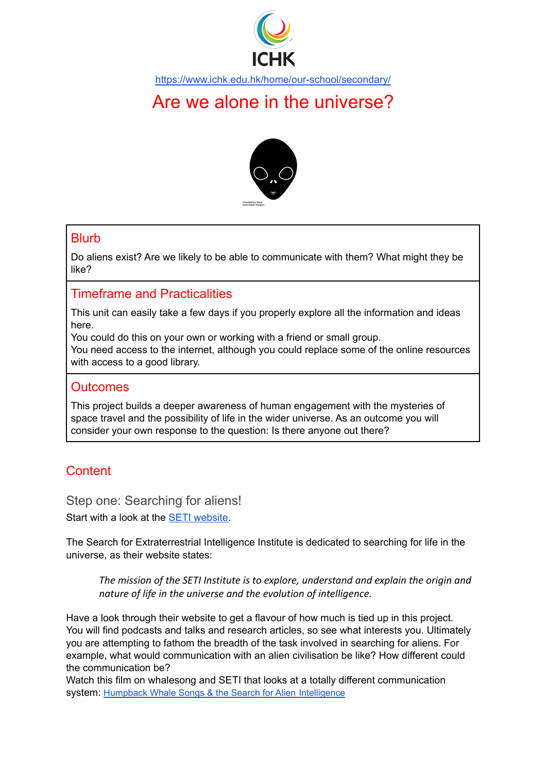

<https://www.ichk.edu.hk/home/our-school/secondary/>

# Are we alone in the universe?



# Blurb

Do aliens exist? Are we likely to be able to communicate with them? What might they be like?

# Timeframe and Practicalities

This unit can easily take a few days if you properly explore all the information and ideas here.

You could do this on your own or working with a friend or small group.

You need access to the internet, although you could replace some of the online resources with access to a good library.

## **Outcomes**

This project builds a deeper awareness of human engagement with the mysteries of space travel and the possibility of life in the wider universe. As an outcome you will consider your own response to the question: Is there anyone out there?

# **Content**

Step one: Searching for aliens!

Start with a look at the SETI [website.](https://www.seti.org)

The Search for Extraterrestrial Intelligence Institute is dedicated to searching for life in the universe, as their website states:

*The mission of the SETI Institute is to explore, understand and explain the origin and nature of life in the universe and the evolution of intelligence.*

Have a look through their website to get a flavour of how much is tied up in this project. You will find podcasts and talks and research articles, so see what interests you. Ultimately you are attempting to fathom the breadth of the task involved in searching for aliens. For example, what would communication with an alien civilisation be like? How different could the communication be?

Watch this film on whalesong and SETI that looks at a totally different communication system: Humpback Whale Songs & the Search for Alien [Intelligence](https://youtu.be/-CIcIZzz8B4)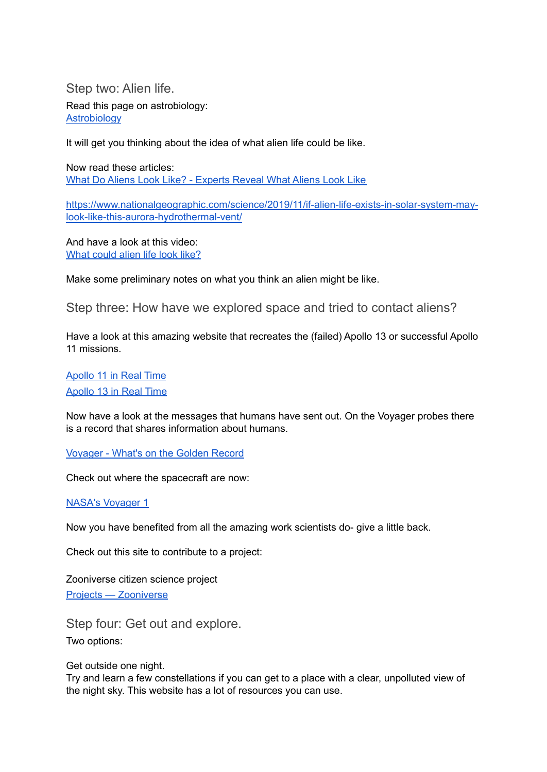Step two: Alien life.

Read this page on astrobiology: [Astrobiology](https://www.seti.org/research/Astrobiology)

It will get you thinking about the idea of what alien life could be like.

Now read these articles: What Do Aliens Look Like? - [Experts](https://www.popularmechanics.com/space/deep-space/g1592/we-asked-7-experts-what-would-aliens-actually-look-like/) Reveal What Aliens Look Like

[https://www.nationalgeographic.com/science/2019/11/if-alien-life-exists-in-solar-system-may](https://www.nationalgeographic.com/science/2019/11/if-alien-life-exists-in-solar-system-may-look-like-this-aurora-hydrothermal-vent/)[look-like-this-aurora-hydrothermal-vent/](https://www.nationalgeographic.com/science/2019/11/if-alien-life-exists-in-solar-system-may-look-like-this-aurora-hydrothermal-vent/)

And have a look at this video: What [could](https://www.bbc.co.uk/ideas/videos/forget-et---what-would-alien-life-actually-look-li/p07r85l8) alien life look like?

Make some preliminary notes on what you think an alien might be like.

Step three: How have we explored space and tried to contact aliens?

Have a look at this amazing website that recreates the (failed) Apollo 13 or successful Apollo 11 missions.

[Apollo](https://apolloinrealtime.org/11/) 11 in Real Time [Apollo](https://apolloinrealtime.org/13/) 13 in Real Time

Now have a look at the messages that humans have sent out. On the Voyager probes there is a record that shares information about humans.

[Voyager](https://voyager.jpl.nasa.gov/golden-record/whats-on-the-record/) - What's on the Golden Record

Check out where the spacecraft are now:

NASA's [Voyager](https://voyager.jpl.nasa.gov) 1

Now you have benefited from all the amazing work scientists do- give a little back.

Check out this site to contribute to a project:

Zooniverse citizen science project Projects — [Zooniverse](https://www.zooniverse.org/projects?discipline=astronomy&page=1&status=live)

Step four: Get out and explore. Two options:

Get outside one night.

Try and learn a few constellations if you can get to a place with a clear, unpolluted view of the night sky. This website has a lot of resources you can use.